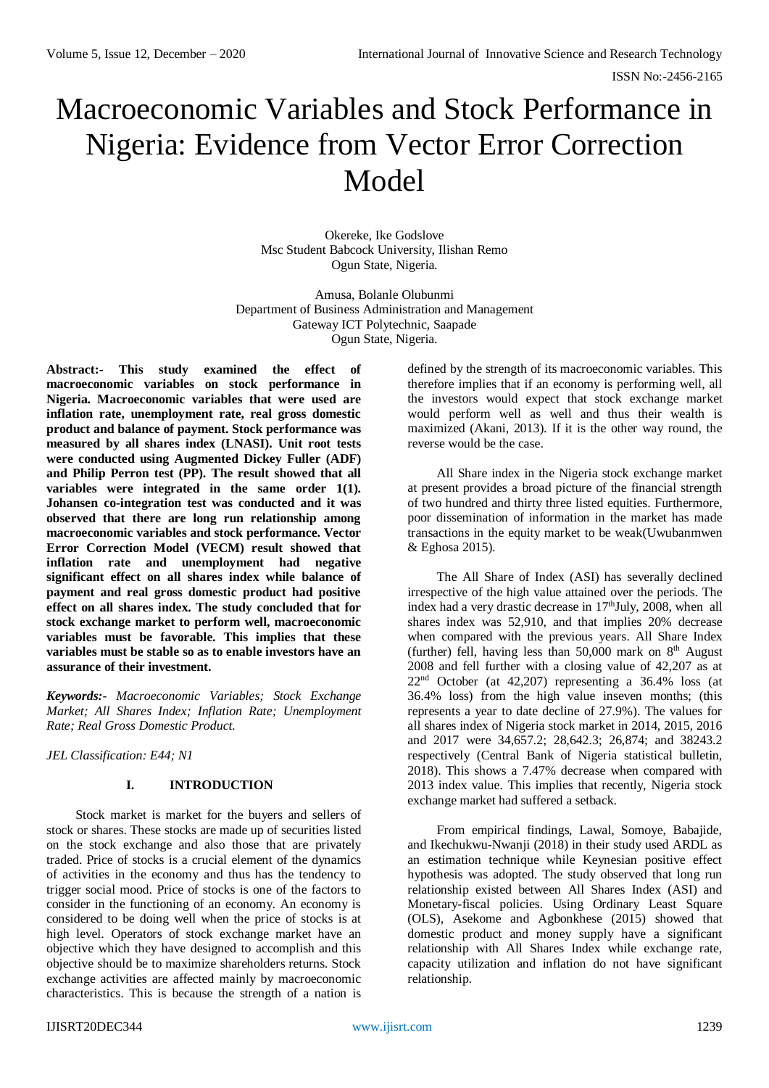# Macroeconomic Variables and Stock Performance in Nigeria: Evidence from Vector Error Correction Model

Okereke, Ike Godslove Msc Student Babcock University, Ilishan Remo Ogun State, Nigeria.

Amusa, Bolanle Olubunmi Department of Business Administration and Management Gateway ICT Polytechnic, Saapade Ogun State, Nigeria.

**Abstract:- This study examined the effect of macroeconomic variables on stock performance in Nigeria. Macroeconomic variables that were used are inflation rate, unemployment rate, real gross domestic product and balance of payment. Stock performance was measured by all shares index (LNASI). Unit root tests were conducted using Augmented Dickey Fuller (ADF) and Philip Perron test (PP). The result showed that all variables were integrated in the same order 1(1). Johansen co-integration test was conducted and it was observed that there are long run relationship among macroeconomic variables and stock performance. Vector Error Correction Model (VECM) result showed that inflation rate and unemployment had negative significant effect on all shares index while balance of payment and real gross domestic product had positive effect on all shares index. The study concluded that for stock exchange market to perform well, macroeconomic variables must be favorable. This implies that these variables must be stable so as to enable investors have an assurance of their investment.**

*Keywords:- Macroeconomic Variables; Stock Exchange Market; All Shares Index; Inflation Rate; Unemployment Rate; Real Gross Domestic Product.*

*JEL Classification: E44; N1*

# **I. INTRODUCTION**

Stock market is market for the buyers and sellers of stock or shares. These stocks are made up of securities listed on the stock exchange and also those that are privately traded. Price of stocks is a crucial element of the dynamics of activities in the economy and thus has the tendency to trigger social mood. Price of stocks is one of the factors to consider in the functioning of an economy. An economy is considered to be doing well when the price of stocks is at high level. Operators of stock exchange market have an objective which they have designed to accomplish and this objective should be to maximize shareholders returns. Stock exchange activities are affected mainly by macroeconomic characteristics. This is because the strength of a nation is

defined by the strength of its macroeconomic variables. This therefore implies that if an economy is performing well, all the investors would expect that stock exchange market would perform well as well and thus their wealth is maximized (Akani, 2013). If it is the other way round, the reverse would be the case.

All Share index in the Nigeria stock exchange market at present provides a broad picture of the financial strength of two hundred and thirty three listed equities. Furthermore, poor dissemination of information in the market has made transactions in the equity market to be weak(Uwubanmwen & Eghosa 2015).

The All Share of Index (ASI) has severally declined irrespective of the high value attained over the periods. The index had a very drastic decrease in  $17<sup>th</sup>$  July, 2008, when all shares index was 52,910, and that implies 20% decrease when compared with the previous years. All Share Index (further) fell, having less than 50,000 mark on  $8<sup>th</sup>$  August 2008 and fell further with a closing value of 42,207 as at 22nd October (at 42,207) representing a 36.4% loss (at 36.4% loss) from the high value inseven months; (this represents a year to date decline of 27.9%). The values for all shares index of Nigeria stock market in 2014, 2015, 2016 and 2017 were 34,657.2; 28,642.3; 26,874; and 38243.2 respectively (Central Bank of Nigeria statistical bulletin, 2018). This shows a 7.47% decrease when compared with 2013 index value. This implies that recently, Nigeria stock exchange market had suffered a setback.

From empirical findings, Lawal, Somoye, Babajide, and Ikechukwu-Nwanji (2018) in their study used ARDL as an estimation technique while Keynesian positive effect hypothesis was adopted. The study observed that long run relationship existed between All Shares Index (ASI) and Monetary-fiscal policies. Using Ordinary Least Square (OLS), Asekome and Agbonkhese (2015) showed that domestic product and money supply have a significant relationship with All Shares Index while exchange rate, capacity utilization and inflation do not have significant relationship.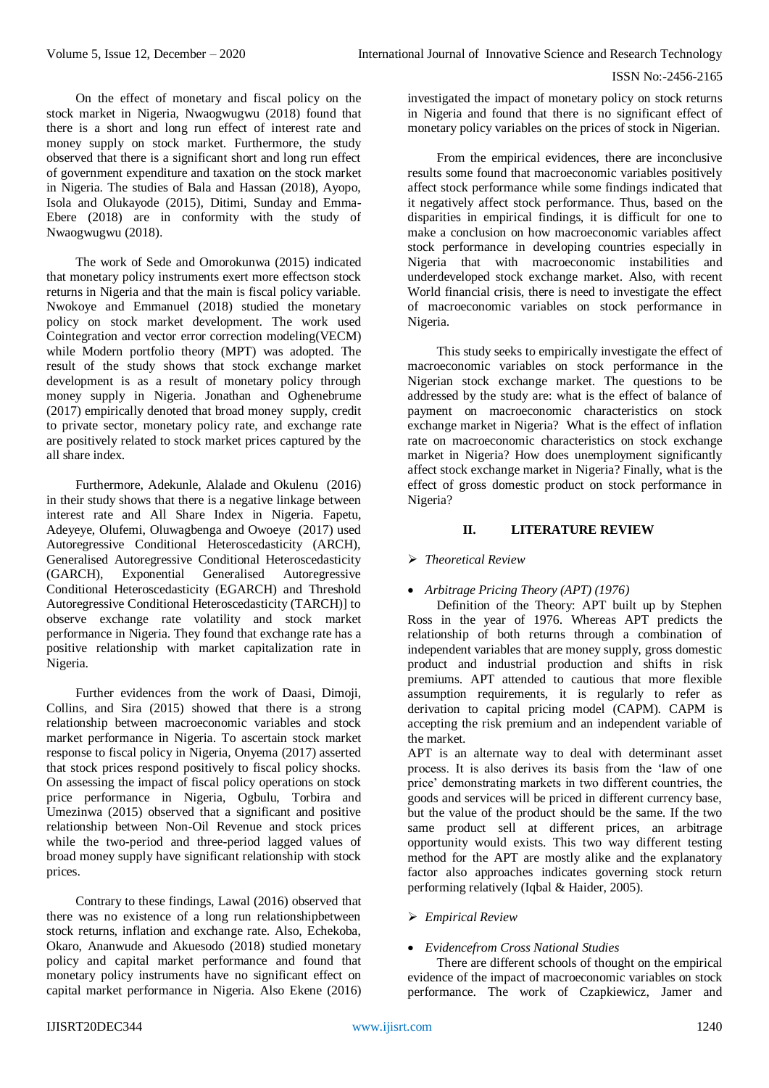On the effect of monetary and fiscal policy on the stock market in Nigeria, Nwaogwugwu (2018) found that there is a short and long run effect of interest rate and money supply on stock market. Furthermore, the study observed that there is a significant short and long run effect of government expenditure and taxation on the stock market in Nigeria. The studies of Bala and Hassan (2018), Ayopo, Isola and Olukayode (2015), Ditimi, Sunday and Emma-Ebere (2018) are in conformity with the study of Nwaogwugwu (2018).

The work of Sede and Omorokunwa (2015) indicated that monetary policy instruments exert more effectson stock returns in Nigeria and that the main is fiscal policy variable. Nwokoye and Emmanuel (2018) studied the monetary policy on stock market development. The work used Cointegration and vector error correction modeling(VECM) while Modern portfolio theory (MPT) was adopted. The result of the study shows that stock exchange market development is as a result of monetary policy through money supply in Nigeria. Jonathan and Oghenebrume (2017) empirically denoted that broad money supply, credit to private sector, monetary policy rate, and exchange rate are positively related to stock market prices captured by the all share index.

Furthermore, Adekunle, Alalade and Okulenu (2016) in their study shows that there is a negative linkage between interest rate and All Share Index in Nigeria. Fapetu, Adeyeye, Olufemi, Oluwagbenga and Owoeye (2017) used Autoregressive Conditional Heteroscedasticity (ARCH), Generalised Autoregressive Conditional Heteroscedasticity<br>(GARCH), Exponential Generalised Autoregressive  $(GARCH)$ , Exponential Generalised Conditional Heteroscedasticity (EGARCH) and Threshold Autoregressive Conditional Heteroscedasticity (TARCH)] to observe exchange rate volatility and stock market performance in Nigeria. They found that exchange rate has a positive relationship with market capitalization rate in Nigeria.

Further evidences from the work of Daasi, Dimoji, Collins, and Sira (2015) showed that there is a strong relationship between macroeconomic variables and stock market performance in Nigeria. To ascertain stock market response to fiscal policy in Nigeria, Onyema (2017) asserted that stock prices respond positively to fiscal policy shocks. On assessing the impact of fiscal policy operations on stock price performance in Nigeria, Ogbulu, Torbira and Umezinwa (2015) observed that a significant and positive relationship between Non-Oil Revenue and stock prices while the two-period and three-period lagged values of broad money supply have significant relationship with stock prices.

Contrary to these findings, Lawal (2016) observed that there was no existence of a long run relationshipbetween stock returns, inflation and exchange rate. Also, Echekoba, Okaro, Ananwude and Akuesodo (2018) studied monetary policy and capital market performance and found that monetary policy instruments have no significant effect on capital market performance in Nigeria. Also Ekene (2016) investigated the impact of monetary policy on stock returns in Nigeria and found that there is no significant effect of monetary policy variables on the prices of stock in Nigerian.

From the empirical evidences, there are inconclusive results some found that macroeconomic variables positively affect stock performance while some findings indicated that it negatively affect stock performance. Thus, based on the disparities in empirical findings, it is difficult for one to make a conclusion on how macroeconomic variables affect stock performance in developing countries especially in Nigeria that with macroeconomic instabilities and underdeveloped stock exchange market. Also, with recent World financial crisis, there is need to investigate the effect of macroeconomic variables on stock performance in Nigeria.

This study seeks to empirically investigate the effect of macroeconomic variables on stock performance in the Nigerian stock exchange market. The questions to be addressed by the study are: what is the effect of balance of payment on macroeconomic characteristics on stock exchange market in Nigeria? What is the effect of inflation rate on macroeconomic characteristics on stock exchange market in Nigeria? How does unemployment significantly affect stock exchange market in Nigeria? Finally, what is the effect of gross domestic product on stock performance in Nigeria?

# **II. LITERATURE REVIEW**

## *Theoretical Review*

## *Arbitrage Pricing Theory (APT) (1976)*

Definition of the Theory: APT built up by Stephen Ross in the year of 1976. Whereas APT predicts the relationship of both returns through a combination of independent variables that are money supply, gross domestic product and industrial production and shifts in risk premiums. APT attended to cautious that more flexible assumption requirements, it is regularly to refer as derivation to capital pricing model (CAPM). CAPM is accepting the risk premium and an independent variable of the market.

APT is an alternate way to deal with determinant asset process. It is also derives its basis from the 'law of one price' demonstrating markets in two different countries, the goods and services will be priced in different currency base, but the value of the product should be the same. If the two same product sell at different prices, an arbitrage opportunity would exists. This two way different testing method for the APT are mostly alike and the explanatory factor also approaches indicates governing stock return performing relatively (Iqbal & Haider, 2005).

# *Empirical Review*

## *Evidencefrom Cross National Studies*

There are different schools of thought on the empirical evidence of the impact of macroeconomic variables on stock performance. The work of Czapkiewicz, Jamer and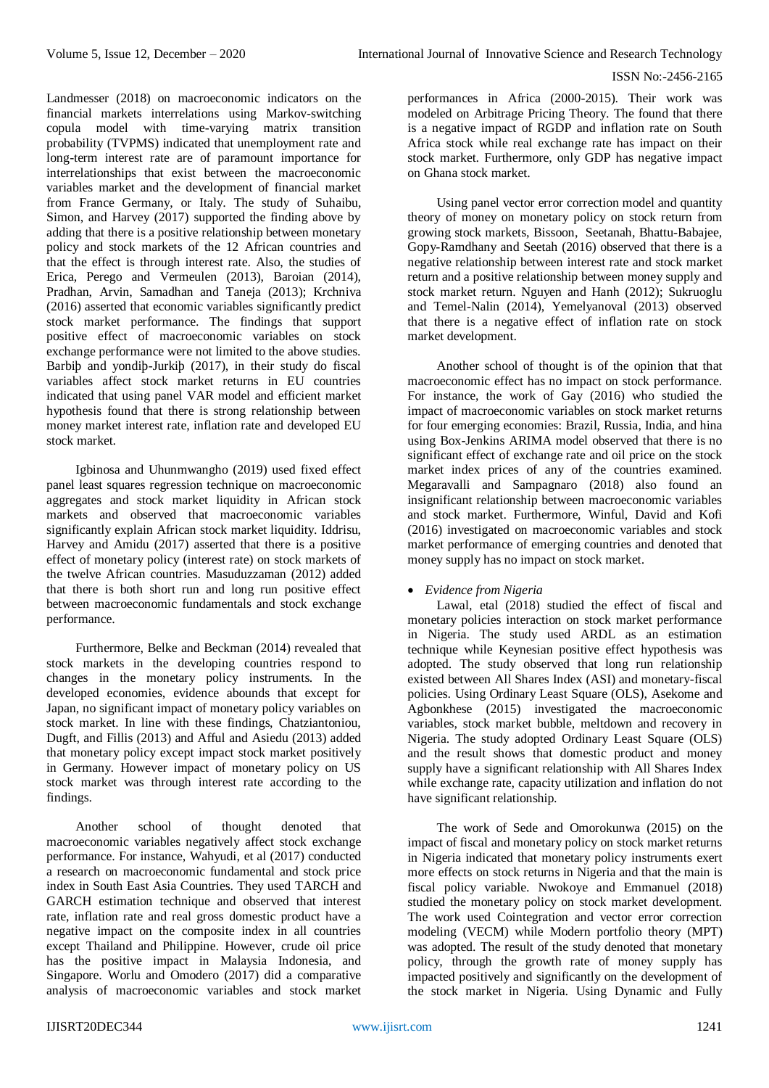Landmesser (2018) on macroeconomic indicators on the financial markets interrelations using Markov-switching copula model with time-varying matrix transition probability (TVPMS) indicated that unemployment rate and long-term interest rate are of paramount importance for interrelationships that exist between the macroeconomic variables market and the development of financial market from France Germany, or Italy. The study of Suhaibu, Simon, and Harvey (2017) supported the finding above by adding that there is a positive relationship between monetary policy and stock markets of the 12 African countries and that the effect is through interest rate. Also, the studies of Erica, Perego and Vermeulen (2013), Baroian (2014), Pradhan, Arvin, Samadhan and Taneja (2013); Krchniva (2016) asserted that economic variables significantly predict stock market performance. The findings that support positive effect of macroeconomic variables on stock exchange performance were not limited to the above studies. Barbiþ and yondiþ-Jurkiþ (2017), in their study do fiscal variables affect stock market returns in EU countries indicated that using panel VAR model and efficient market hypothesis found that there is strong relationship between money market interest rate, inflation rate and developed EU stock market.

Igbinosa and Uhunmwangho (2019) used fixed effect panel least squares regression technique on macroeconomic aggregates and stock market liquidity in African stock markets and observed that macroeconomic variables significantly explain African stock market liquidity. Iddrisu, Harvey and Amidu (2017) asserted that there is a positive effect of monetary policy (interest rate) on stock markets of the twelve African countries. Masuduzzaman (2012) added that there is both short run and long run positive effect between macroeconomic fundamentals and stock exchange performance.

Furthermore, Belke and Beckman (2014) revealed that stock markets in the developing countries respond to changes in the monetary policy instruments. In the developed economies, evidence abounds that except for Japan, no significant impact of monetary policy variables on stock market. In line with these findings, Chatziantoniou, Dugft, and Fillis (2013) and Afful and Asiedu (2013) added that monetary policy except impact stock market positively in Germany. However impact of monetary policy on US stock market was through interest rate according to the findings.

Another school of thought denoted that macroeconomic variables negatively affect stock exchange performance. For instance, Wahyudi, et al (2017) conducted a research on macroeconomic fundamental and stock price index in South East Asia Countries. They used TARCH and GARCH estimation technique and observed that interest rate, inflation rate and real gross domestic product have a negative impact on the composite index in all countries except Thailand and Philippine. However, crude oil price has the positive impact in Malaysia Indonesia, and Singapore. Worlu and Omodero (2017) did a comparative analysis of macroeconomic variables and stock market

performances in Africa (2000-2015). Their work was modeled on Arbitrage Pricing Theory. The found that there is a negative impact of RGDP and inflation rate on South Africa stock while real exchange rate has impact on their stock market. Furthermore, only GDP has negative impact on Ghana stock market.

Using panel vector error correction model and quantity theory of money on monetary policy on stock return from growing stock markets, Bissoon, Seetanah, Bhattu-Babajee, Gopy-Ramdhany and Seetah (2016) observed that there is a negative relationship between interest rate and stock market return and a positive relationship between money supply and stock market return. Nguyen and Hanh (2012); Sukruoglu and Temel-Nalin (2014), Yemelyanoval (2013) observed that there is a negative effect of inflation rate on stock market development.

Another school of thought is of the opinion that that macroeconomic effect has no impact on stock performance. For instance, the work of Gay (2016) who studied the impact of macroeconomic variables on stock market returns for four emerging economies: Brazil, Russia, India, and hina using Box-Jenkins ARIMA model observed that there is no significant effect of exchange rate and oil price on the stock market index prices of any of the countries examined. Megaravalli and Sampagnaro (2018) also found an insignificant relationship between macroeconomic variables and stock market. Furthermore, Winful, David and Kofi (2016) investigated on macroeconomic variables and stock market performance of emerging countries and denoted that money supply has no impact on stock market.

# *Evidence from Nigeria*

Lawal, etal (2018) studied the effect of fiscal and monetary policies interaction on stock market performance in Nigeria. The study used ARDL as an estimation technique while Keynesian positive effect hypothesis was adopted. The study observed that long run relationship existed between All Shares Index (ASI) and monetary-fiscal policies. Using Ordinary Least Square (OLS), Asekome and Agbonkhese (2015) investigated the macroeconomic variables, stock market bubble, meltdown and recovery in Nigeria. The study adopted Ordinary Least Square (OLS) and the result shows that domestic product and money supply have a significant relationship with All Shares Index while exchange rate, capacity utilization and inflation do not have significant relationship.

The work of Sede and Omorokunwa (2015) on the impact of fiscal and monetary policy on stock market returns in Nigeria indicated that monetary policy instruments exert more effects on stock returns in Nigeria and that the main is fiscal policy variable. Nwokoye and Emmanuel (2018) studied the monetary policy on stock market development. The work used Cointegration and vector error correction modeling (VECM) while Modern portfolio theory (MPT) was adopted. The result of the study denoted that monetary policy, through the growth rate of money supply has impacted positively and significantly on the development of the stock market in Nigeria. Using Dynamic and Fully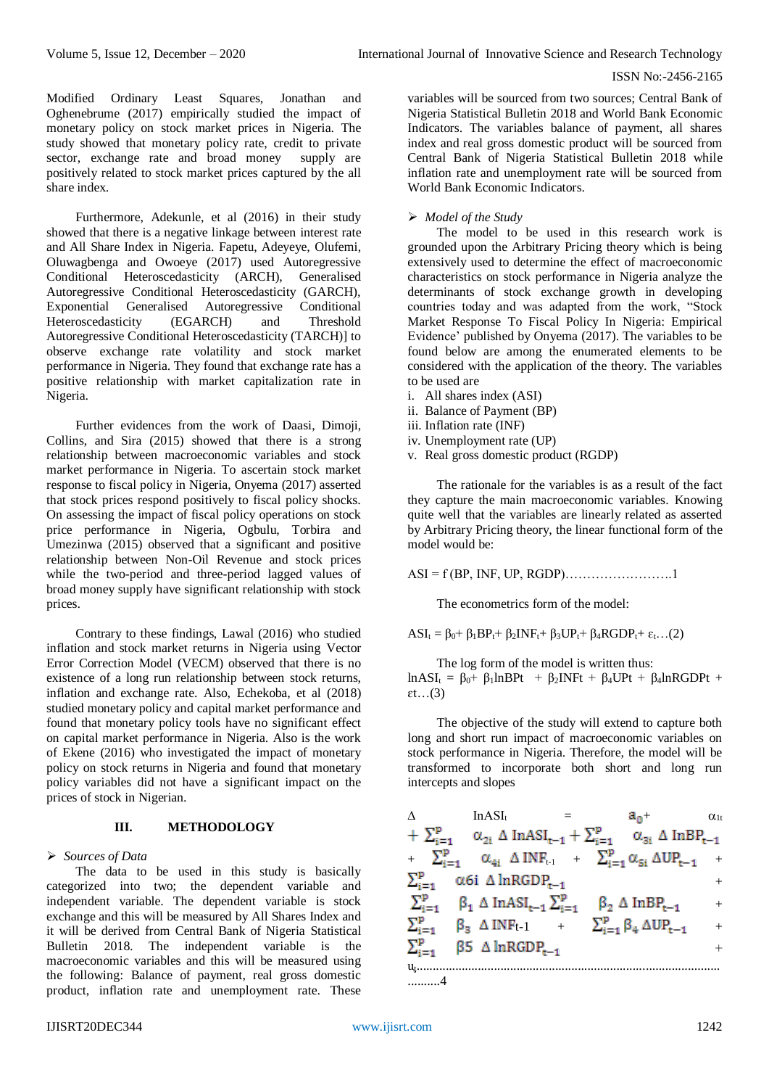Modified Ordinary Least Squares, Jonathan and Oghenebrume (2017) empirically studied the impact of monetary policy on stock market prices in Nigeria. The study showed that monetary policy rate, credit to private sector, exchange rate and broad money supply are positively related to stock market prices captured by the all share index.

Furthermore, Adekunle, et al (2016) in their study showed that there is a negative linkage between interest rate and All Share Index in Nigeria. Fapetu, Adeyeye, Olufemi, Oluwagbenga and Owoeye (2017) used Autoregressive Conditional Heteroscedasticity (ARCH), Generalised Autoregressive Conditional Heteroscedasticity (GARCH), Exponential Generalised Autoregressive Conditional Heteroscedasticity (EGARCH) and Threshold Autoregressive Conditional Heteroscedasticity (TARCH)] to observe exchange rate volatility and stock market performance in Nigeria. They found that exchange rate has a positive relationship with market capitalization rate in Nigeria.

Further evidences from the work of Daasi, Dimoji, Collins, and Sira (2015) showed that there is a strong relationship between macroeconomic variables and stock market performance in Nigeria. To ascertain stock market response to fiscal policy in Nigeria, Onyema (2017) asserted that stock prices respond positively to fiscal policy shocks. On assessing the impact of fiscal policy operations on stock price performance in Nigeria, Ogbulu, Torbira and Umezinwa (2015) observed that a significant and positive relationship between Non-Oil Revenue and stock prices while the two-period and three-period lagged values of broad money supply have significant relationship with stock prices.

Contrary to these findings, Lawal (2016) who studied inflation and stock market returns in Nigeria using Vector Error Correction Model (VECM) observed that there is no existence of a long run relationship between stock returns, inflation and exchange rate. Also, Echekoba, et al (2018) studied monetary policy and capital market performance and found that monetary policy tools have no significant effect on capital market performance in Nigeria. Also is the work of Ekene (2016) who investigated the impact of monetary policy on stock returns in Nigeria and found that monetary policy variables did not have a significant impact on the prices of stock in Nigerian.

## **III. METHODOLOGY**

## *Sources of Data*

The data to be used in this study is basically categorized into two; the dependent variable and independent variable. The dependent variable is stock exchange and this will be measured by All Shares Index and it will be derived from Central Bank of Nigeria Statistical Bulletin 2018. The independent variable is the macroeconomic variables and this will be measured using the following: Balance of payment, real gross domestic product, inflation rate and unemployment rate. These

variables will be sourced from two sources; Central Bank of Nigeria Statistical Bulletin 2018 and World Bank Economic Indicators. The variables balance of payment, all shares index and real gross domestic product will be sourced from Central Bank of Nigeria Statistical Bulletin 2018 while inflation rate and unemployment rate will be sourced from World Bank Economic Indicators.

### *Model of the Study*

The model to be used in this research work is grounded upon the Arbitrary Pricing theory which is being extensively used to determine the effect of macroeconomic characteristics on stock performance in Nigeria analyze the determinants of stock exchange growth in developing countries today and was adapted from the work, "Stock Market Response To Fiscal Policy In Nigeria: Empirical Evidence' published by Onyema (2017). The variables to be found below are among the enumerated elements to be considered with the application of the theory. The variables to be used are

- i. All shares index (ASI)
- ii. Balance of Payment (BP)
- iii. Inflation rate (INF)
- iv. Unemployment rate (UP)
- v. Real gross domestic product (RGDP)

The rationale for the variables is as a result of the fact they capture the main macroeconomic variables. Knowing quite well that the variables are linearly related as asserted by Arbitrary Pricing theory, the linear functional form of the model would be:

ASI = f (BP, INF, UP, RGDP)…………………….1

The econometrics form of the model:

 $ASI_t = \beta_0 + \beta_1 BP_t + \beta_2 INF_t + \beta_3 UP_t + \beta_4 RGB_t + \varepsilon_t$ ...(2)

The log form of the model is written thus:

 $lnASI_t = \beta_0 + \beta_1lnBPt + \beta_2INFt + \beta_4UPt + \beta_4lnRGDPt +$  $et...(3)$ 

The objective of the study will extend to capture both long and short run impact of macroeconomic variables on stock performance in Nigeria. Therefore, the model will be transformed to incorporate both short and long run intercepts and slopes

| $+\sum_{i=1}^{p} \alpha_{2i} \Delta \text{InASI}_{t-1} + \sum_{i=1}^{p} \alpha_{3i} \Delta \text{InBP}_{t-1}$ |
|---------------------------------------------------------------------------------------------------------------|
| $\sum_{i=1}^{p} \alpha_{4i} \Delta INF_{t-1} + \sum_{i=1}^{p} \alpha_{5i} \Delta UP_{t-1} +$                  |
| $^{+}$                                                                                                        |
| $+$                                                                                                           |
| $^{+}$                                                                                                        |
| $^{+}$                                                                                                        |
|                                                                                                               |
|                                                                                                               |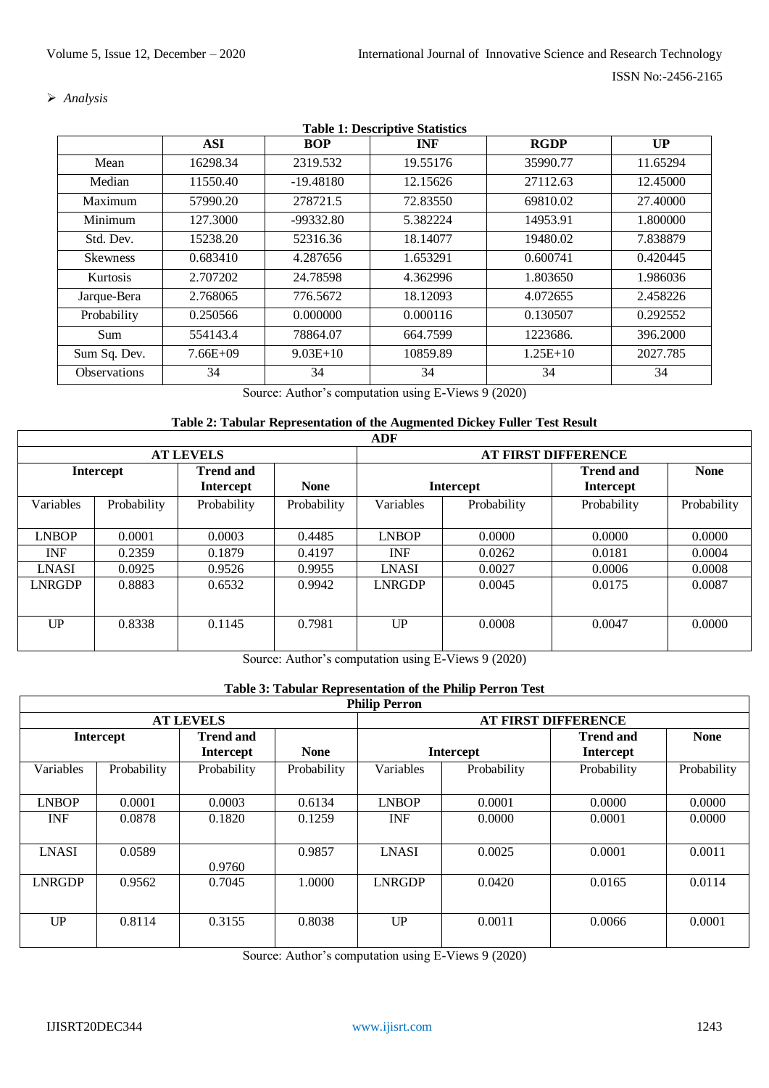*Analysis*

|                     | <b>ASI</b>   | <b>BOP</b>  | <b>INF</b> | <b>RGDP</b> | UP       |
|---------------------|--------------|-------------|------------|-------------|----------|
| Mean                | 16298.34     | 2319.532    | 19.55176   | 35990.77    | 11.65294 |
| Median              | 11550.40     | $-19.48180$ | 12.15626   | 27112.63    | 12.45000 |
| Maximum             | 57990.20     | 278721.5    | 72.83550   | 69810.02    | 27.40000 |
| Minimum             | 127.3000     | -99332.80   | 5.382224   | 14953.91    | 1.800000 |
| Std. Dev.           | 15238.20     | 52316.36    | 18.14077   | 19480.02    | 7.838879 |
| <b>Skewness</b>     | 0.683410     | 4.287656    | 1.653291   | 0.600741    | 0.420445 |
| <b>Kurtosis</b>     | 2.707202     | 24.78598    | 4.362996   | 1.803650    | 1.986036 |
| Jarque-Bera         | 2.768065     | 776.5672    | 18.12093   | 4.072655    | 2.458226 |
| Probability         | 0.250566     | 0.000000    | 0.000116   | 0.130507    | 0.292552 |
| Sum                 | 554143.4     | 78864.07    | 664.7599   | 1223686.    | 396.2000 |
| Sum Sq. Dev.        | $7.66E + 09$ | $9.03E+10$  | 10859.89   | $1.25E+10$  | 2027.785 |
| <b>Observations</b> | 34           | 34          | 34         | 34          | 34       |

**Table 1: Descriptive Statistics**

Source: Author's computation using E-Views 9 (2020)

# **Table 2: Tabular Representation of the Augmented Dickey Fuller Test Result**

|               |                  |                                      |             | <b>ADF</b>    |                            |                                      |             |  |  |
|---------------|------------------|--------------------------------------|-------------|---------------|----------------------------|--------------------------------------|-------------|--|--|
|               | <b>AT LEVELS</b> |                                      |             |               | <b>AT FIRST DIFFERENCE</b> |                                      |             |  |  |
|               | <b>Intercept</b> | <b>Trend and</b><br><b>Intercept</b> | <b>None</b> |               | <b>Intercept</b>           | <b>Trend and</b><br><b>Intercept</b> | <b>None</b> |  |  |
| Variables     | Probability      | Probability                          | Probability | Variables     | Probability                | Probability                          | Probability |  |  |
| <b>LNBOP</b>  | 0.0001           | 0.0003                               | 0.4485      | <b>LNBOP</b>  | 0.0000                     | 0.0000                               | 0.0000      |  |  |
| <b>INF</b>    | 0.2359           | 0.1879                               | 0.4197      | <b>INF</b>    | 0.0262                     | 0.0181                               | 0.0004      |  |  |
| <b>LNASI</b>  | 0.0925           | 0.9526                               | 0.9955      | <b>LNASI</b>  | 0.0027                     | 0.0006                               | 0.0008      |  |  |
| <b>LNRGDP</b> | 0.8883           | 0.6532                               | 0.9942      | <b>LNRGDP</b> | 0.0045                     | 0.0175                               | 0.0087      |  |  |
| UP            | 0.8338           | 0.1145                               | 0.7981      | UP            | 0.0008                     | 0.0047                               | 0.0000      |  |  |

Source: Author's computation using E-Views 9 (2020)

# **Table 3: Tabular Representation of the Philip Perron Test**

|                  | <b>Philip Perron</b> |                                      |             |               |                  |                                      |             |  |
|------------------|----------------------|--------------------------------------|-------------|---------------|------------------|--------------------------------------|-------------|--|
| <b>AT LEVELS</b> |                      |                                      |             |               |                  | <b>AT FIRST DIFFERENCE</b>           |             |  |
|                  | <b>Intercept</b>     | <b>Trend and</b><br><b>Intercept</b> | <b>None</b> |               | <b>Intercept</b> | <b>Trend and</b><br><b>Intercept</b> | <b>None</b> |  |
| Variables        | Probability          | Probability                          | Probability | Variables     | Probability      | Probability                          | Probability |  |
| <b>LNBOP</b>     | 0.0001               | 0.0003                               | 0.6134      | <b>LNBOP</b>  | 0.0001           | 0.0000                               | 0.0000      |  |
| <b>INF</b>       | 0.0878               | 0.1820                               | 0.1259      | <b>INF</b>    | 0.0000           | 0.0001                               | 0.0000      |  |
| <b>LNASI</b>     | 0.0589               | 0.9760                               | 0.9857      | <b>LNASI</b>  | 0.0025           | 0.0001                               | 0.0011      |  |
| <b>LNRGDP</b>    | 0.9562               | 0.7045                               | 1.0000      | <b>LNRGDP</b> | 0.0420           | 0.0165                               | 0.0114      |  |
| UP               | 0.8114               | 0.3155                               | 0.8038      | UP            | 0.0011           | 0.0066                               | 0.0001      |  |

Source: Author's computation using E-Views 9 (2020)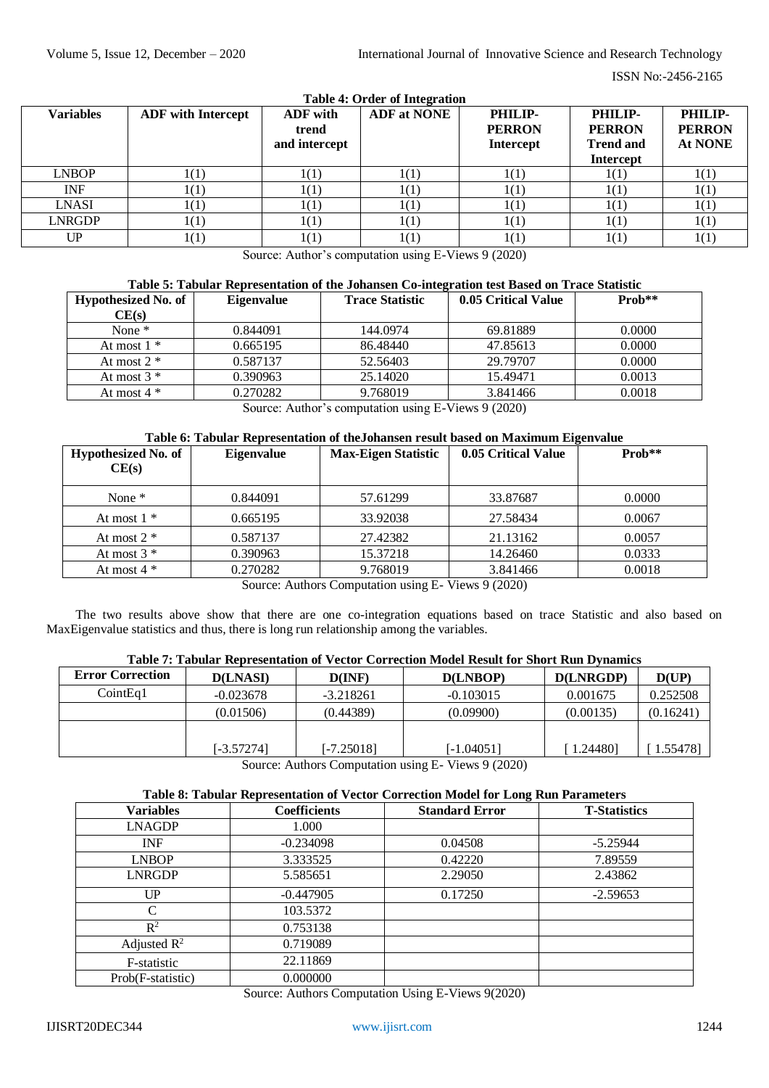| <b>Variables</b> | <b>ADF</b> with Intercept | ADF with<br>trend<br>and intercept | <b>Table 4: Order of Integration</b><br><b>ADF</b> at NONE | PHILIP-<br><b>PERRON</b><br><b>Intercept</b> | PHILIP-<br><b>PERRON</b><br><b>Trend and</b><br><b>Intercept</b> | PHILIP-<br><b>PERRON</b><br>At NONE |
|------------------|---------------------------|------------------------------------|------------------------------------------------------------|----------------------------------------------|------------------------------------------------------------------|-------------------------------------|
| <b>LNBOP</b>     | 1(1)                      | 1(1)                               | 1(1)                                                       | 1(1)                                         | 1(1)                                                             | 1(1)                                |
| <b>INF</b>       | 1(1)                      | 1(1)                               | 1(1)                                                       | 1(1)                                         | 1(1)                                                             | 1(1)                                |
| LNASI            | 1(1)                      | 1(1)                               | 1(1)                                                       | 1(1)                                         | 1(1)                                                             | 1(1)                                |
| <b>LNRGDP</b>    | 1(1)                      | 1(1)                               | 1(1)                                                       | 1(1)                                         | 1(1)                                                             | 1(1)                                |
| UP               | 1(1)                      | 1(1)                               | 1(1)                                                       | 1(1)                                         | 1(1)                                                             | 1(1)                                |

Source: Author's computation using E-Views 9 (2020)

| <b>Eigenvalue</b> | <b>Trace Statistic</b> | 0.05 Critical Value | $Prob**$ |
|-------------------|------------------------|---------------------|----------|
|                   |                        |                     |          |
| 0.844091          | 144.0974               | 69.81889            | 0.0000   |
| 0.665195          | 86.48440               | 47.85613            | 0.0000   |
| 0.587137          | 52.56403               | 29.79707            | 0.0000   |
| 0.390963          | 25.14020               | 15.49471            | 0.0013   |
| 0.270282          | 9.768019               | 3.841466            | 0.0018   |
|                   |                        |                     |          |

Source: Author's computation using E-Views 9 (2020)

## **Table 6: Tabular Representation of theJohansen result based on Maximum Eigenvalue**

| Hypothesized No. of<br>CE(s) | <b>Eigenvalue</b> | <b>Max-Eigen Statistic</b>                                                                                                                    | 0.05 Critical Value | $\mathbf{Prob}^{**}$ |
|------------------------------|-------------------|-----------------------------------------------------------------------------------------------------------------------------------------------|---------------------|----------------------|
| None $*$                     | 0.844091          | 57.61299                                                                                                                                      | 33.87687            | 0.0000               |
| At most $1 *$                | 0.665195          | 33.92038                                                                                                                                      | 27.58434            | 0.0067               |
| At most $2 *$                | 0.587137          | 27.42382                                                                                                                                      | 21.13162            | 0.0057               |
| At most $3 *$                | 0.390963          | 15.37218                                                                                                                                      | 14.26460            | 0.0333               |
| At most $4 *$                | 0.270282          | 9.768019<br>$\mathbb{C}$ , $\mathbb{A}$ and $\mathbb{C}$ and $\mathbb{C}$ is the set of $\mathbb{C}$ . If $\mathbb{C}$ is $\mathbb{C}$ (2020) | 3.841466            | 0.0018               |

Source: Authors Computation using E- Views 9 (2020)

The two results above show that there are one co-integration equations based on trace Statistic and also based on MaxEigenvalue statistics and thus, there is long run relationship among the variables.

# **Table 7: Tabular Representation of Vector Correction Model Result for Short Run Dynamics**

| <b>Error Correction</b> | <b>D(LNASI)</b> | D(INF)      | D(LNBOP)    | D(LNRGDP)   | D(UP)     |
|-------------------------|-----------------|-------------|-------------|-------------|-----------|
| CointEa1                | $-0.023678$     | $-3.218261$ | $-0.103015$ | 0.001675    | 0.252508  |
|                         | (0.01506)       | (0.44389)   | (0.09900)   | (0.00135)   | (0.16241) |
|                         |                 |             |             |             |           |
|                         | [-3.57274]      | [-7.25018]  | [-1.04051]  | $1.24480$ ] | 1.55478]  |

Source: Authors Computation using E- Views 9 (2020)

## **Table 8: Tabular Representation of Vector Correction Model for Long Run Parameters**

|                   |                     | $\bullet$             |                     |
|-------------------|---------------------|-----------------------|---------------------|
| <b>Variables</b>  | <b>Coefficients</b> | <b>Standard Error</b> | <b>T-Statistics</b> |
| <b>LNAGDP</b>     | 1.000               |                       |                     |
| <b>INF</b>        | $-0.234098$         | 0.04508               | $-5.25944$          |
| <b>LNBOP</b>      | 3.333525            | 0.42220               | 7.89559             |
| <b>LNRGDP</b>     | 5.585651            | 2.29050               | 2.43862             |
| UP                | $-0.447905$         | 0.17250               | $-2.59653$          |
|                   | 103.5372            |                       |                     |
| $R^2$             | 0.753138            |                       |                     |
| Adjusted $R^2$    | 0.719089            |                       |                     |
| F-statistic       | 22.11869            |                       |                     |
| Prob(F-statistic) | 0.000000            |                       |                     |

Source: Authors Computation Using E-Views 9(2020)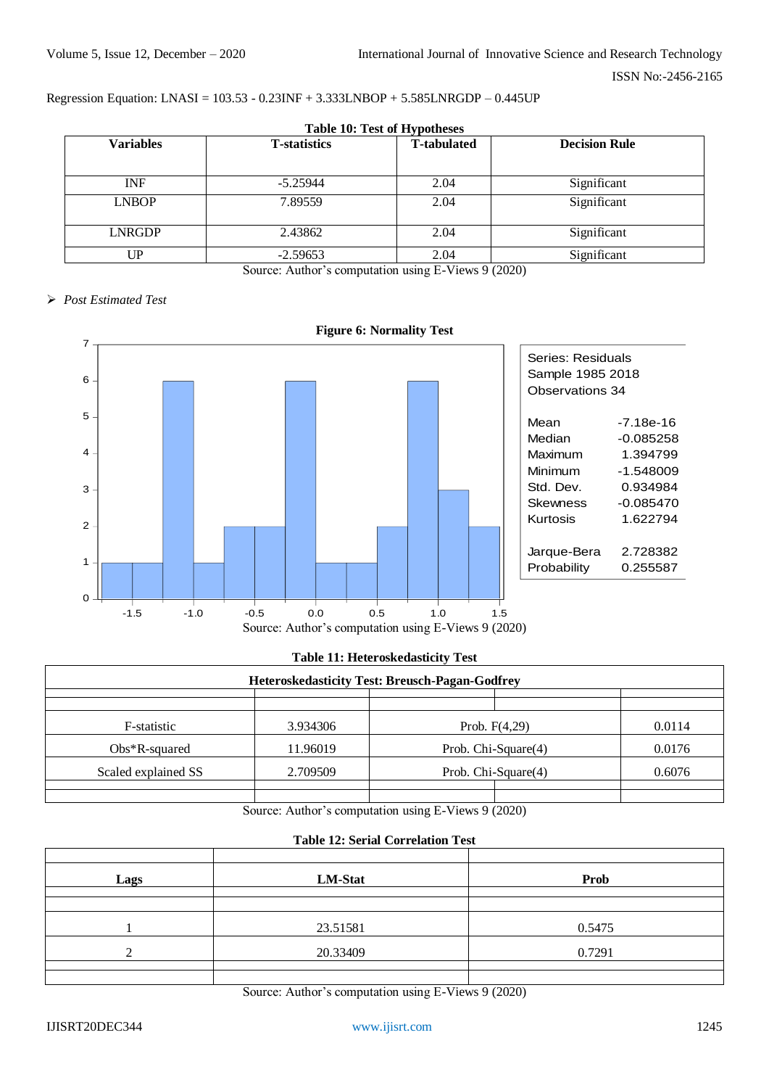## Regression Equation: LNASI = 103.53 - 0.23INF + 3.333LNBOP + 5.585LNRGDP – 0.445UP

|                  | <b>Table 10: Test of Hypotheses</b> |                    |                      |  |  |  |  |  |
|------------------|-------------------------------------|--------------------|----------------------|--|--|--|--|--|
| <b>Variables</b> | <b>T-statistics</b>                 | <b>T-tabulated</b> | <b>Decision Rule</b> |  |  |  |  |  |
|                  |                                     |                    |                      |  |  |  |  |  |
| <b>INF</b>       | $-5.25944$                          | 2.04               | Significant          |  |  |  |  |  |
| <b>LNBOP</b>     | 7.89559                             | 2.04               | Significant          |  |  |  |  |  |
| LNRGDP           | 2.43862                             | 2.04               | Significant          |  |  |  |  |  |
| UP               | $-2.59653$                          | 2.04               | Significant          |  |  |  |  |  |

Source: Author's computation using E-Views 9 (2020)

## *Post Estimated Test*



## **Table 11: Heteroskedasticity Test**

|                     | <b>Heteroskedasticity Test: Breusch-Pagan-Godfrey</b> |                     |        |
|---------------------|-------------------------------------------------------|---------------------|--------|
|                     |                                                       |                     |        |
| F-statistic         | 3.934306                                              | Prob. $F(4,29)$     | 0.0114 |
| $Obs*R$ -squared    | 11.96019                                              | Prob. Chi-Square(4) | 0.0176 |
| Scaled explained SS | 2.709509                                              | Prob. Chi-Square(4) | 0.6076 |
|                     |                                                       |                     |        |

Source: Author's computation using E-Views 9 (2020)

# **Table 12: Serial Correlation Test**

| Lags | LM-Stat  | <b>Prob</b> |
|------|----------|-------------|
|      |          |             |
|      |          |             |
|      | 23.51581 | 0.5475      |
|      | 20.33409 | 0.7291      |
|      |          |             |
|      |          |             |

Source: Author's computation using E-Views 9 (2020)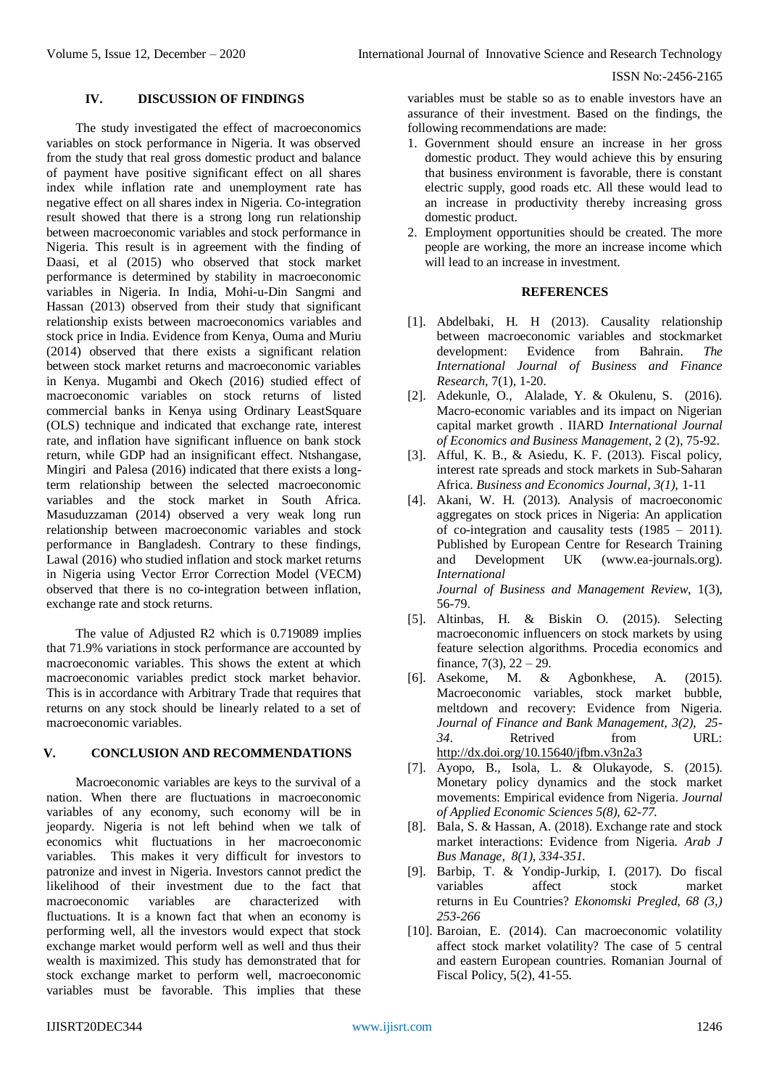## **IV. DISCUSSION OF FINDINGS**

The study investigated the effect of macroeconomics variables on stock performance in Nigeria. It was observed from the study that real gross domestic product and balance of payment have positive significant effect on all shares index while inflation rate and unemployment rate has negative effect on all shares index in Nigeria. Co-integration result showed that there is a strong long run relationship between macroeconomic variables and stock performance in Nigeria. This result is in agreement with the finding of Daasi, et al (2015) who observed that stock market performance is determined by stability in macroeconomic variables in Nigeria. In India, Mohi-u-Din Sangmi and Hassan (2013) observed from their study that significant relationship exists between macroeconomics variables and stock price in India. Evidence from Kenya, Ouma and Muriu (2014) observed that there exists a significant relation between stock market returns and macroeconomic variables in Kenya. Mugambi and Okech (2016) studied effect of macroeconomic variables on stock returns of listed commercial banks in Kenya using Ordinary LeastSquare (OLS) technique and indicated that exchange rate, interest rate, and inflation have significant influence on bank stock return, while GDP had an insignificant effect. Ntshangase, Mingiri and Palesa (2016) indicated that there exists a longterm relationship between the selected macroeconomic variables and the stock market in South Africa. Masuduzzaman (2014) observed a very weak long run relationship between macroeconomic variables and stock performance in Bangladesh. Contrary to these findings, Lawal (2016) who studied inflation and stock market returns in Nigeria using Vector Error Correction Model (VECM) observed that there is no co-integration between inflation, exchange rate and stock returns.

The value of Adjusted R2 which is 0.719089 implies that 71.9% variations in stock performance are accounted by macroeconomic variables. This shows the extent at which macroeconomic variables predict stock market behavior. This is in accordance with Arbitrary Trade that requires that returns on any stock should be linearly related to a set of macroeconomic variables.

# **V. CONCLUSION AND RECOMMENDATIONS**

Macroeconomic variables are keys to the survival of a nation. When there are fluctuations in macroeconomic variables of any economy, such economy will be in jeopardy. Nigeria is not left behind when we talk of economics whit fluctuations in her macroeconomic variables. This makes it very difficult for investors to patronize and invest in Nigeria. Investors cannot predict the likelihood of their investment due to the fact that macroeconomic variables are characterized with fluctuations. It is a known fact that when an economy is performing well, all the investors would expect that stock exchange market would perform well as well and thus their wealth is maximized. This study has demonstrated that for stock exchange market to perform well, macroeconomic variables must be favorable. This implies that these

variables must be stable so as to enable investors have an assurance of their investment. Based on the findings, the following recommendations are made:

- 1. Government should ensure an increase in her gross domestic product. They would achieve this by ensuring that business environment is favorable, there is constant electric supply, good roads etc. All these would lead to an increase in productivity thereby increasing gross domestic product.
- 2. Employment opportunities should be created. The more people are working, the more an increase income which will lead to an increase in investment.

## **REFERENCES**

- [1]. Abdelbaki, H. H (2013). Causality relationship between macroeconomic variables and stockmarket development: Evidence from Bahrain. *The International Journal of Business and Finance Research*, 7(1), 1-20.
- [2]. Adekunle, O., Alalade, Y. & Okulenu, S. (2016). Macro-economic variables and its impact on Nigerian capital market growth . IIARD *International Journal of Economics and Business Management*, 2 (2), 75-92.
- [3]. Afful, K. B., & Asiedu, K. F. (2013). Fiscal policy, interest rate spreads and stock markets in Sub-Saharan Africa. *Business and Economics Journal, 3(1),* 1-11
- [4]. Akani, W. H. (2013). Analysis of macroeconomic aggregates on stock prices in Nigeria: An application of co-integration and causality tests (1985 – 2011). Published by European Centre for Research Training and Development UK (www.ea-journals.org). *International Journal of Business and Management Review*, 1(3),

56-79. [5]. Altinbas, H. & Biskin O. (2015). Selecting macroeconomic influencers on stock markets by using feature selection algorithms. Procedia economics and finance,  $7(3)$ ,  $22 - 29$ .

- [6]. Asekome, M. & Agbonkhese, A. (2015). Macroeconomic variables, stock market bubble, meltdown and recovery: Evidence from Nigeria. *Journal of Finance and Bank Management, 3(2), 25- 34*. Retrived from URL: <http://dx.doi.org/10.15640/jfbm.v3n2a3>
- [7]. Ayopo, B., Isola, L. & Olukayode, S. (2015). Monetary policy dynamics and the stock market movements: Empirical evidence from Nigeria*. Journal of Applied Economic Sciences 5(8), 62-77.*
- [8]. Bala, S. & Hassan, A. (2018). Exchange rate and stock market interactions: Evidence from Nigeria. *Arab J Bus Manage, 8(1), 334-351.*
- [9]. Barbip, T. & Yondip-Jurkip, I. (2017). Do fiscal variables affect stock market returns in Eu Countries? *Ekonomski Pregled, 68 (3,) 253-266*
- [10]. Baroian, E. (2014). Can macroeconomic volatility affect stock market volatility? The case of 5 central and eastern European countries. Romanian Journal of Fiscal Policy, 5(2), 41-55.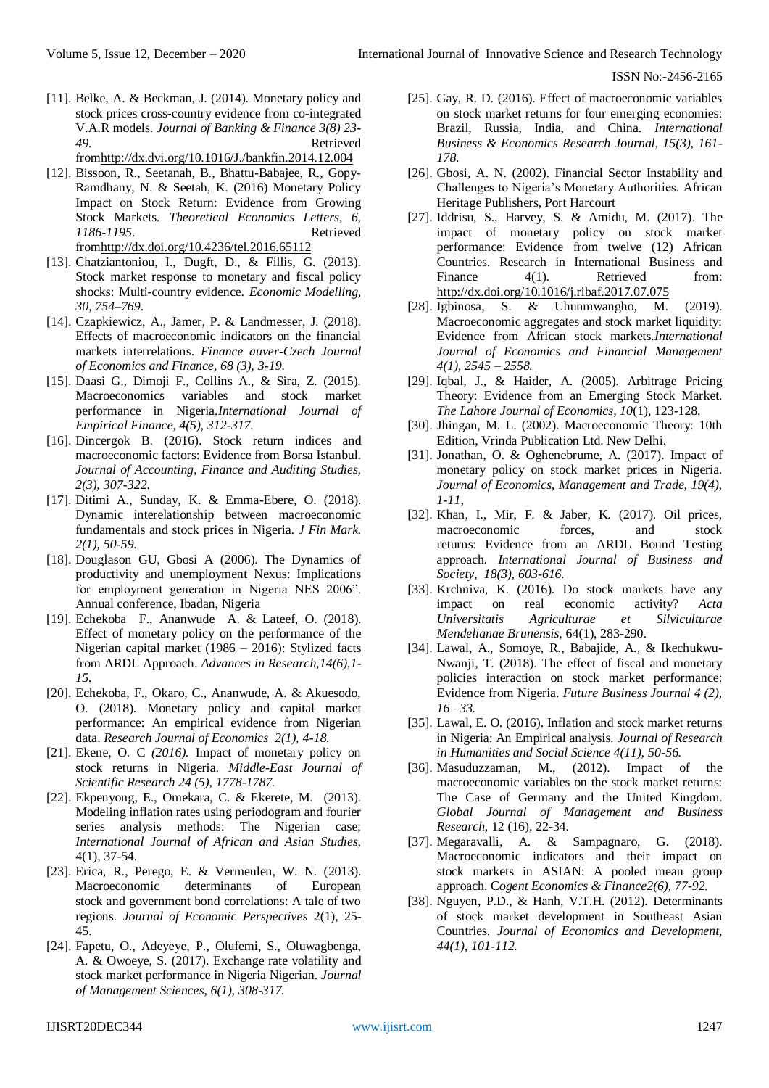- [11]. Belke, A. & Beckman, J. (2014). Monetary policy and stock prices cross-country evidence from co-integrated V.A.R models. *Journal of Banking & Finance 3(8) 23- 49.* Retrieved fro[mhttp://dx.dvi.org/10.1016/J./bankfin.2014.12.004](http://dx.dvi.org/10.1016/J./bankfin.2014.12.004)
- [12]. Bissoon, R., Seetanah, B., Bhattu-Babajee, R., Gopy-Ramdhany, N. & Seetah, K. (2016) Monetary Policy Impact on Stock Return: Evidence from Growing Stock Markets. *Theoretical Economics Letters, 6, 1186-1195*. Retrieved fro[mhttp://dx.doi.org/10.4236/tel.2016.65112](http://dx.doi.org/10.4236/tel.2016.65112)
- [13]. Chatziantoniou, I., Dugft, D., & Fillis, G. (2013). Stock market response to monetary and fiscal policy shocks: Multi-country evidence. *Economic Modelling, 30, 754–769*.
- [14]. Czapkiewicz, A., Jamer, P. & Landmesser, J. (2018). Effects of macroeconomic indicators on the financial markets interrelations. *Finance auver-Czech Journal of Economics and Finance, 68 (3), 3-19.*
- [15]. Daasi G., Dimoji F., Collins A., & Sira, Z. (2015). Macroeconomics variables and stock market performance in Nigeria.*International Journal of Empirical Finance, 4(5), 312-317.*
- [16]. Dincergok B. (2016). Stock return indices and macroeconomic factors: Evidence from Borsa Istanbul. *Journal of Accounting, Finance and Auditing Studies, 2(3), 307-322.*
- [17]. Ditimi A., Sunday, K. & Emma-Ebere, O. (2018). Dynamic interelationship between macroeconomic fundamentals and stock prices in Nigeria. *J Fin Mark. 2(1), 50-59.*
- [18]. Douglason GU, Gbosi A (2006). The Dynamics of productivity and unemployment Nexus: Implications for employment generation in Nigeria NES 2006". Annual conference, Ibadan, Nigeria
- [19]. Echekoba F., Ananwude A. & Lateef, O. (2018). Effect of monetary policy on the performance of the Nigerian capital market (1986 – 2016): Stylized facts from ARDL Approach. *Advances in Research,14(6),1- 15.*
- [20]. Echekoba, F., Okaro, C., Ananwude, A. & Akuesodo, O. (2018). Monetary policy and capital market performance: An empirical evidence from Nigerian data. *Research Journal of Economics 2(1), 4-18.*
- [21]. Ekene, O. C *(2016).* Impact of monetary policy on stock returns in Nigeria. *Middle-East Journal of Scientific Research 24 (5), 1778-1787.*
- [22]. Ekpenyong, E., Omekara, C. & Ekerete, M. (2013). Modeling inflation rates using periodogram and fourier series analysis methods: The Nigerian case; *International Journal of African and Asian Studies,*  4(1), 37-54.
- [23]. Erica, R., Perego, E. & Vermeulen, W. N. (2013). Macroeconomic determinants of European stock and government bond correlations: A tale of two regions. *Journal of Economic Perspectives* 2(1), 25- 45.
- [24]. Fapetu, O., Adeyeye, P., Olufemi, S., Oluwagbenga, A. & Owoeye, S. (2017). Exchange rate volatility and stock market performance in Nigeria Nigerian. *Journal of Management Sciences, 6(1), 308-317.*
- [25]. Gay, R. D. (2016). Effect of macroeconomic variables on stock market returns for four emerging economies: Brazil, Russia, India, and China. *International Business & Economics Research Journal, 15(3), 161- 178.*
- [26]. Gbosi, A. N. (2002). Financial Sector Instability and Challenges to Nigeria's Monetary Authorities. African Heritage Publishers, Port Harcourt
- [27]. Iddrisu, S., Harvey, S. & Amidu, M. (2017). The impact of monetary policy on stock market performance: Evidence from twelve (12) African Countries. Research in International Business and Finance 4(1). Retrieved from: <http://dx.doi.org/10.1016/j.ribaf.2017.07.075>
- [28]. Igbinosa, S. & Uhunmwangho, M. (2019). Macroeconomic aggregates and stock market liquidity: Evidence from African stock markets.*International Journal of Economics and Financial Management 4(1), 2545 – 2558.*
- [29]. Iqbal, J., & Haider, A. (2005). Arbitrage Pricing Theory: Evidence from an Emerging Stock Market. *The Lahore Journal of Economics, 10*(1), 123-128.
- [30]. Jhingan, M. L. (2002). Macroeconomic Theory: 10th Edition, Vrinda Publication Ltd. New Delhi.
- [31]. Jonathan, O. & Oghenebrume, A. (2017). Impact of monetary policy on stock market prices in Nigeria*. Journal of Economics, Management and Trade, 19(4), 1-11,*
- [32]. Khan, I., Mir, F. & Jaber, K. (2017). Oil prices, macroeconomic forces, and stock returns: Evidence from an ARDL Bound Testing approach*. International Journal of Business and Society, 18(3), 603-616.*
- [33]. Krchniva, K. (2016). Do stock markets have any impact on real economic activity? *Acta Universitatis Agriculturae et Silviculturae Mendelianae Brunensis,* 64(1), 283-290.
- [34]. Lawal, A., Somoye, R., Babajide, A., & Ikechukwu-Nwanji, T. (2018). The effect of fiscal and monetary policies interaction on stock market performance: Evidence from Nigeria. *Future Business Journal 4 (2), 16– 33.*
- [35]. Lawal, E. O. (2016). Inflation and stock market returns in Nigeria: An Empirical analysis*. Journal of Research in Humanities and Social Science 4(11), 50-56.*
- [36]. Masuduzzaman, M., (2012). Impact of the macroeconomic variables on the stock market returns: The Case of Germany and the United Kingdom. *Global Journal of Management and Business Research,* 12 (16), 22-34.
- [37]. Megaravalli, A. & Sampagnaro, G. (2018). Macroeconomic indicators and their impact on stock markets in ASIAN: A pooled mean group approach. C*ogent Economics & Finance2(6), 77-92.*
- [38]. Nguyen, P.D., & Hanh, V.T.H. (2012). Determinants of stock market development in Southeast Asian Countries. *Journal of Economics and Development, 44(1), 101-112.*